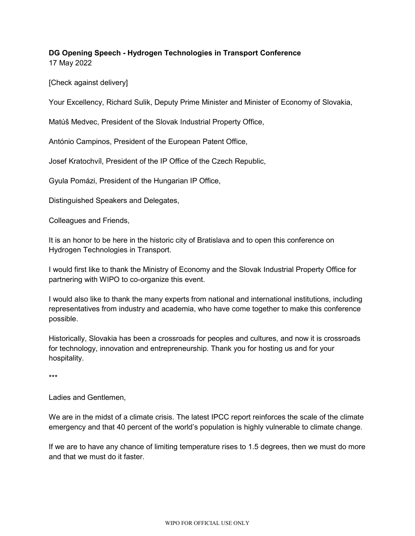## **DG Opening Speech - Hydrogen Technologies in Transport Conference** 17 May 2022

[Check against delivery]

Your Excellency, Richard Sulik, Deputy Prime Minister and Minister of Economy of Slovakia,

Matúš Medvec, President of the Slovak Industrial Property Office,

António Campinos, President of the European Patent Office,

Josef Kratochvíl, President of the IP Office of the Czech Republic,

Gyula Pomázi, President of the Hungarian IP Office,

Distinguished Speakers and Delegates,

Colleagues and Friends,

It is an honor to be here in the historic city of Bratislava and to open this conference on Hydrogen Technologies in Transport.

I would first like to thank the Ministry of Economy and the Slovak Industrial Property Office for partnering with WIPO to co-organize this event.

I would also like to thank the many experts from national and international institutions, including representatives from industry and academia, who have come together to make this conference possible.

Historically, Slovakia has been a crossroads for peoples and cultures, and now it is crossroads for technology, innovation and entrepreneurship. Thank you for hosting us and for your hospitality.

\*\*\*

Ladies and Gentlemen,

We are in the midst of a climate crisis. The latest IPCC report reinforces the scale of the climate emergency and that 40 percent of the world's population is highly vulnerable to climate change.

If we are to have any chance of limiting temperature rises to 1.5 degrees, then we must do more and that we must do it faster.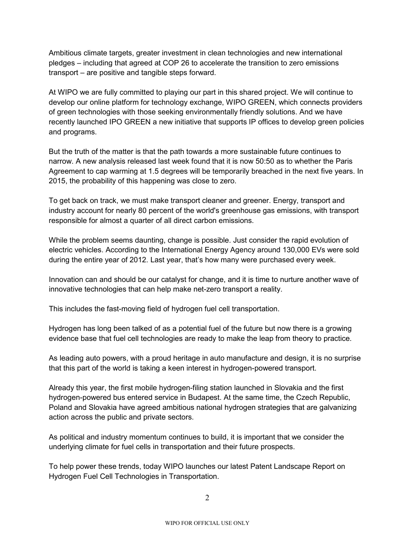Ambitious climate targets, greater investment in clean technologies and new international pledges – including that agreed at COP 26 to accelerate the transition to zero emissions transport – are positive and tangible steps forward.

At WIPO we are fully committed to playing our part in this shared project. We will continue to develop our online platform for technology exchange, WIPO GREEN, which connects providers of green technologies with those seeking environmentally friendly solutions. And we have recently launched IPO GREEN a new initiative that supports IP offices to develop green policies and programs.

But the truth of the matter is that the path towards a more sustainable future continues to narrow. A new analysis released last week found that it is now 50:50 as to whether the Paris Agreement to cap warming at 1.5 degrees will be temporarily breached in the next five years. In 2015, the probability of this happening was close to zero.

To get back on track, we must make transport cleaner and greener. Energy, transport and industry account for nearly 80 percent of the world's greenhouse gas emissions, with transport responsible for almost a quarter of all direct carbon emissions.

While the problem seems daunting, change is possible. Just consider the rapid evolution of electric vehicles. According to the International Energy Agency around 130,000 EVs were sold during the entire year of 2012. Last year, that's how many were purchased every week.

Innovation can and should be our catalyst for change, and it is time to nurture another wave of innovative technologies that can help make net-zero transport a reality.

This includes the fast-moving field of hydrogen fuel cell transportation.

Hydrogen has long been talked of as a potential fuel of the future but now there is a growing evidence base that fuel cell technologies are ready to make the leap from theory to practice.

As leading auto powers, with a proud heritage in auto manufacture and design, it is no surprise that this part of the world is taking a keen interest in hydrogen-powered transport.

Already this year, the first mobile hydrogen-filing station launched in Slovakia and the first hydrogen-powered bus entered service in Budapest. At the same time, the Czech Republic, Poland and Slovakia have agreed ambitious national hydrogen strategies that are galvanizing action across the public and private sectors.

As political and industry momentum continues to build, it is important that we consider the underlying climate for fuel cells in transportation and their future prospects.

To help power these trends, today WIPO launches our latest Patent Landscape Report on Hydrogen Fuel Cell Technologies in Transportation.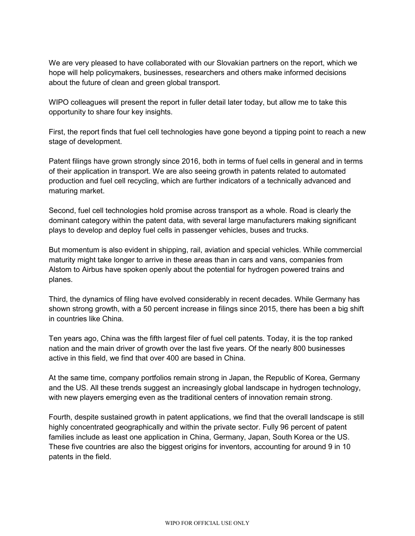We are very pleased to have collaborated with our Slovakian partners on the report, which we hope will help policymakers, businesses, researchers and others make informed decisions about the future of clean and green global transport.

WIPO colleagues will present the report in fuller detail later today, but allow me to take this opportunity to share four key insights.

First, the report finds that fuel cell technologies have gone beyond a tipping point to reach a new stage of development.

Patent filings have grown strongly since 2016, both in terms of fuel cells in general and in terms of their application in transport. We are also seeing growth in patents related to automated production and fuel cell recycling, which are further indicators of a technically advanced and maturing market.

Second, fuel cell technologies hold promise across transport as a whole. Road is clearly the dominant category within the patent data, with several large manufacturers making significant plays to develop and deploy fuel cells in passenger vehicles, buses and trucks.

But momentum is also evident in shipping, rail, aviation and special vehicles. While commercial maturity might take longer to arrive in these areas than in cars and vans, companies from Alstom to Airbus have spoken openly about the potential for hydrogen powered trains and planes.

Third, the dynamics of filing have evolved considerably in recent decades. While Germany has shown strong growth, with a 50 percent increase in filings since 2015, there has been a big shift in countries like China.

Ten years ago, China was the fifth largest filer of fuel cell patents. Today, it is the top ranked nation and the main driver of growth over the last five years. Of the nearly 800 businesses active in this field, we find that over 400 are based in China.

At the same time, company portfolios remain strong in Japan, the Republic of Korea, Germany and the US. All these trends suggest an increasingly global landscape in hydrogen technology, with new players emerging even as the traditional centers of innovation remain strong.

Fourth, despite sustained growth in patent applications, we find that the overall landscape is still highly concentrated geographically and within the private sector. Fully 96 percent of patent families include as least one application in China, Germany, Japan, South Korea or the US. These five countries are also the biggest origins for inventors, accounting for around 9 in 10 patents in the field.